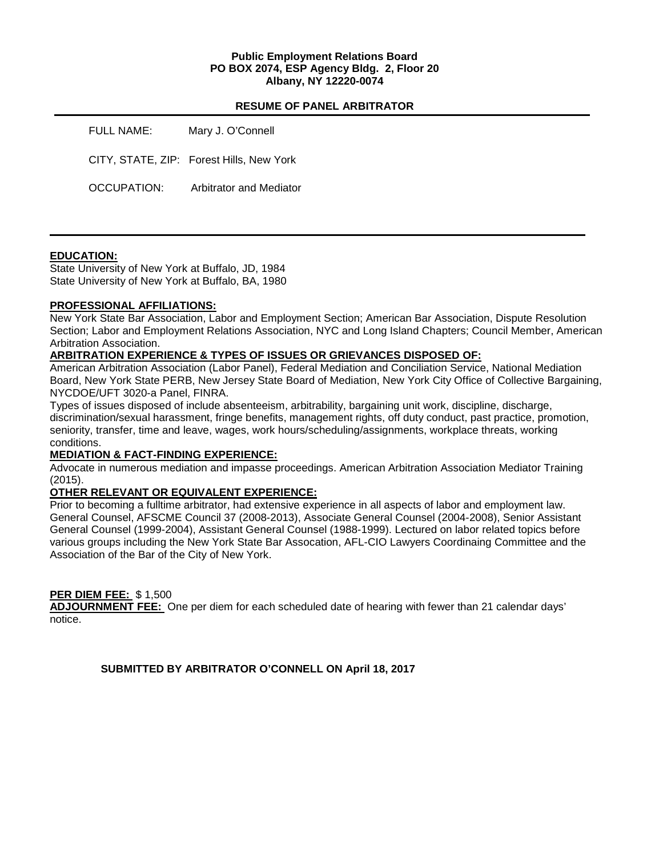### **Public Employment Relations Board PO BOX 2074, ESP Agency Bldg. 2, Floor 20 Albany, NY 12220-0074**

#### **RESUME OF PANEL ARBITRATOR**

| FULL NAME:  | Mary J. O'Connell                        |
|-------------|------------------------------------------|
|             | CITY, STATE, ZIP: Forest Hills, New York |
| OCCUPATION: | Arbitrator and Mediator                  |

### **EDUCATION:**

State University of New York at Buffalo, JD, 1984 State University of New York at Buffalo, BA, 1980

### **PROFESSIONAL AFFILIATIONS:**

New York State Bar Association, Labor and Employment Section; American Bar Association, Dispute Resolution Section; Labor and Employment Relations Association, NYC and Long Island Chapters; Council Member, American Arbitration Association.

### **ARBITRATION EXPERIENCE & TYPES OF ISSUES OR GRIEVANCES DISPOSED OF:**

American Arbitration Association (Labor Panel), Federal Mediation and Conciliation Service, National Mediation Board, New York State PERB, New Jersey State Board of Mediation, New York City Office of Collective Bargaining, NYCDOE/UFT 3020-a Panel, FINRA.

Types of issues disposed of include absenteeism, arbitrability, bargaining unit work, discipline, discharge, discrimination/sexual harassment, fringe benefits, management rights, off duty conduct, past practice, promotion, seniority, transfer, time and leave, wages, work hours/scheduling/assignments, workplace threats, working conditions.

## **MEDIATION & FACT-FINDING EXPERIENCE:**

Advocate in numerous mediation and impasse proceedings. American Arbitration Association Mediator Training (2015).

### **OTHER RELEVANT OR EQUIVALENT EXPERIENCE:**

Prior to becoming a fulltime arbitrator, had extensive experience in all aspects of labor and employment law. General Counsel, AFSCME Council 37 (2008-2013), Associate General Counsel (2004-2008), Senior Assistant General Counsel (1999-2004), Assistant General Counsel (1988-1999). Lectured on labor related topics before various groups including the New York State Bar Assocation, AFL-CIO Lawyers Coordinaing Committee and the Association of the Bar of the City of New York.

### **PER DIEM FEE:** \$ 1,500

**ADJOURNMENT FEE:** One per diem for each scheduled date of hearing with fewer than 21 calendar days' notice.

**SUBMITTED BY ARBITRATOR O'CONNELL ON April 18, 2017**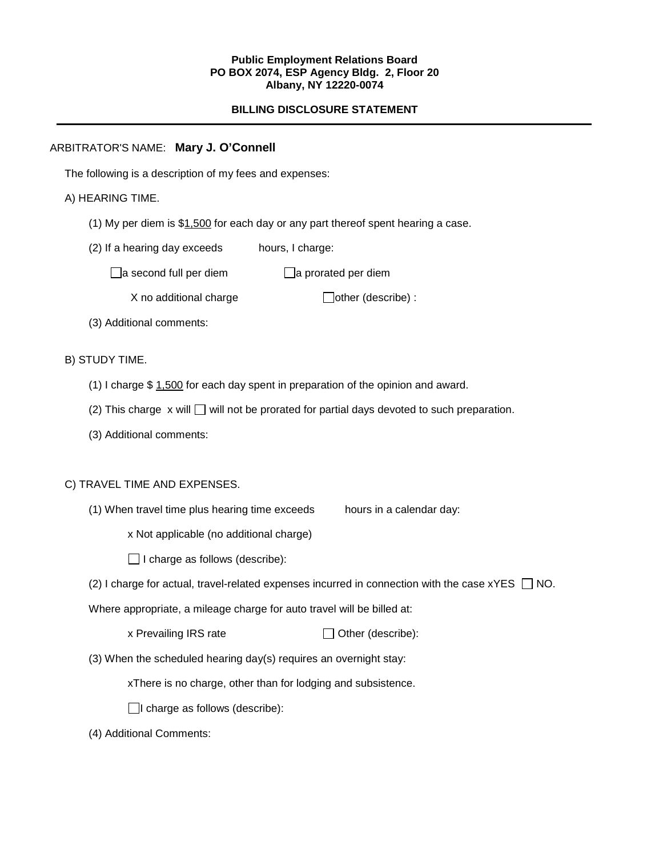#### **Public Employment Relations Board PO BOX 2074, ESP Agency Bldg. 2, Floor 20 Albany, NY 12220-0074**

# **BILLING DISCLOSURE STATEMENT**

# ARBITRATOR'S NAME: **Mary J. O'Connell**

The following is a description of my fees and expenses:

# A) HEARING TIME.

- (1) My per diem is  $$1,500$  for each day or any part thereof spent hearing a case.
- (2) If a hearing day exceeds hours, I charge:

 $\Box$ a second full per diem  $\Box$ a prorated per diem

 $X$  no additional charge  $\Box$  other (describe) :

(3) Additional comments:

### B) STUDY TIME.

- (1) I charge \$ 1,500 for each day spent in preparation of the opinion and award.
- (2) This charge  $x$  will  $\Box$  will not be prorated for partial days devoted to such preparation.
- (3) Additional comments:

### C) TRAVEL TIME AND EXPENSES.

(1) When travel time plus hearing time exceeds hours in a calendar day:

x Not applicable (no additional charge)

 $\Box$  I charge as follows (describe):

(2) I charge for actual, travel-related expenses incurred in connection with the case  $xYES \Box NO$ .

Where appropriate, a mileage charge for auto travel will be billed at:

| x Prevailing IRS rate | $\Box$ Other (describe): |
|-----------------------|--------------------------|
|-----------------------|--------------------------|

(3) When the scheduled hearing day(s) requires an overnight stay:

xThere is no charge, other than for lodging and subsistence.

 $\Box$ I charge as follows (describe):

(4) Additional Comments: